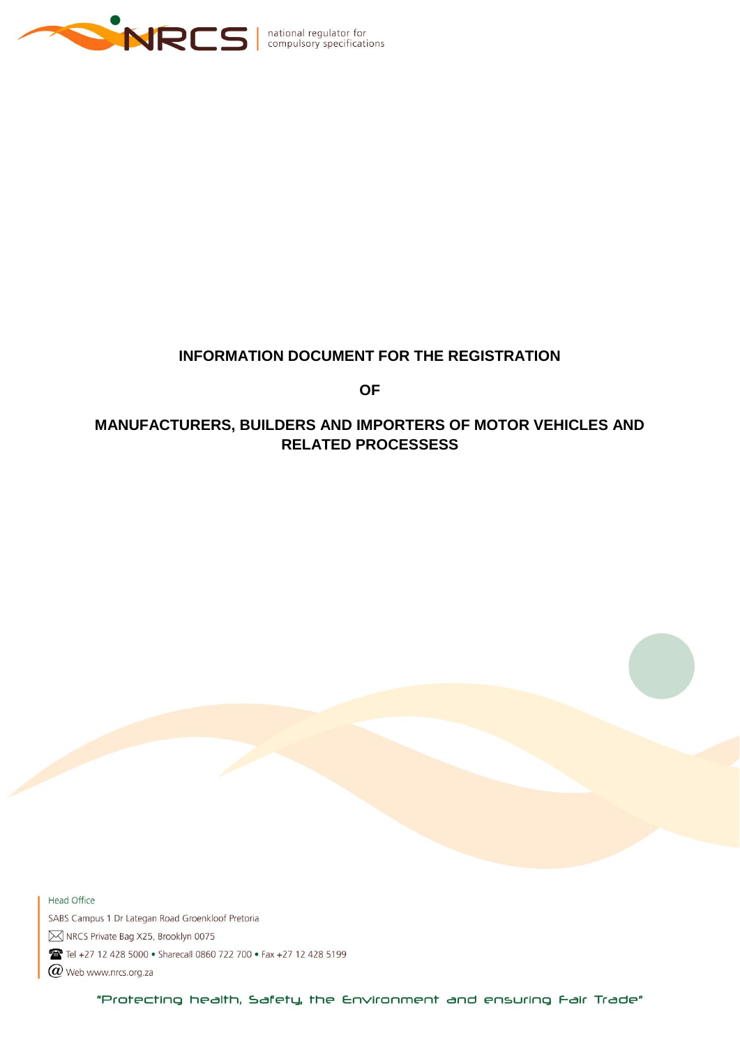

### **INFORMATION DOCUMENT FOR THE REGISTRATION**

**OF**

# **MANUFACTURERS, BUILDERS AND IMPORTERS OF MOTOR VEHICLES AND RELATED PROCESSESS**

Head Office SABS Campus 1 Dr Lategan Road Groenkloof Pretoria M NRCS Private Bag X25, Brooklyn 0075 Tel +27 12 428 5000 · Sharecall 0860 722 700 · Fax +27 12 428 5199  $\varpi$  Web www.nrcs.org.za

"Protecting health, Safety, the Environment and ensuring Fair Trade"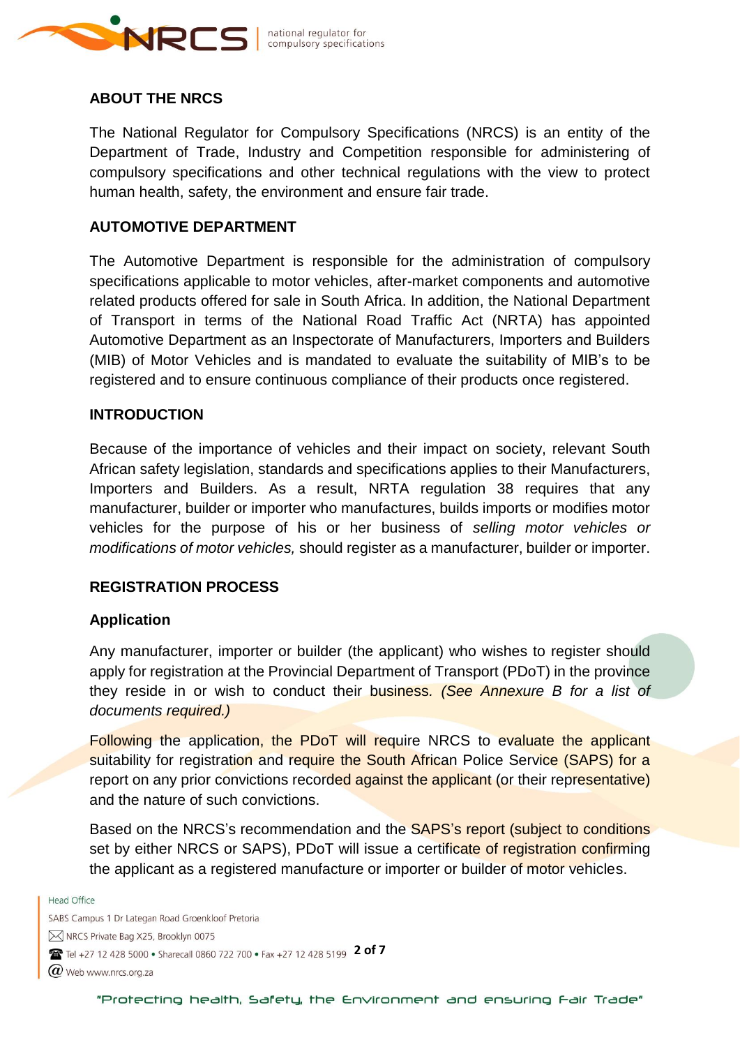

### **ABOUT THE NRCS**

The National Regulator for Compulsory Specifications (NRCS) is an entity of the Department of Trade, Industry and Competition responsible for administering of compulsory specifications and other technical regulations with the view to protect human health, safety, the environment and ensure fair trade.

#### **AUTOMOTIVE DEPARTMENT**

The Automotive Department is responsible for the administration of compulsory specifications applicable to motor vehicles, after-market components and automotive related products offered for sale in South Africa. In addition, the National Department of Transport in terms of the National Road Traffic Act (NRTA) has appointed Automotive Department as an Inspectorate of Manufacturers, Importers and Builders (MIB) of Motor Vehicles and is mandated to evaluate the suitability of MIB's to be registered and to ensure continuous compliance of their products once registered.

### **INTRODUCTION**

Because of the importance of vehicles and their impact on society, relevant South African safety legislation, standards and specifications applies to their Manufacturers, Importers and Builders. As a result, NRTA regulation 38 requires that any manufacturer, builder or importer who manufactures, builds imports or modifies motor vehicles for the purpose of his or her business of *selling motor vehicles or modifications of motor vehicles,* should register as a manufacturer, builder or importer.

#### **REGISTRATION PROCESS**

#### **Application**

Any manufacturer, importer or builder (the applicant) who wishes to register should apply for registration at the Provincial Department of Transport (PDoT) in the province they reside in or wish to conduct their business*. (See Annexure B for a list of documents required.)* 

Following the application, the PDoT will require NRCS to evaluate the applicant suitability for registration and require the South African Police Service (SAPS) for a report on any prior convictions recorded against the applicant (or their representative) and the nature of such convictions.

Based on the NRCS's recommendation and the SAPS's report (subject to conditions set by either NRCS or SAPS), PDoT will issue a certificate of registration confirming the applicant as a registered manufacture or importer or builder of motor vehicles.

**Head Office** 

SABS Campus 1 Dr Lategan Road Groenkloof Pretoria M NRCS Private Bag X25, Brooklyn 0075 **2 of 7 2 of 7 12 428 5000 • Sharecall 0860 722 700 • Fax +27 12 428 5199 <b>2 of 7**  $\bm{Q}$  Web www.nrcs.org.za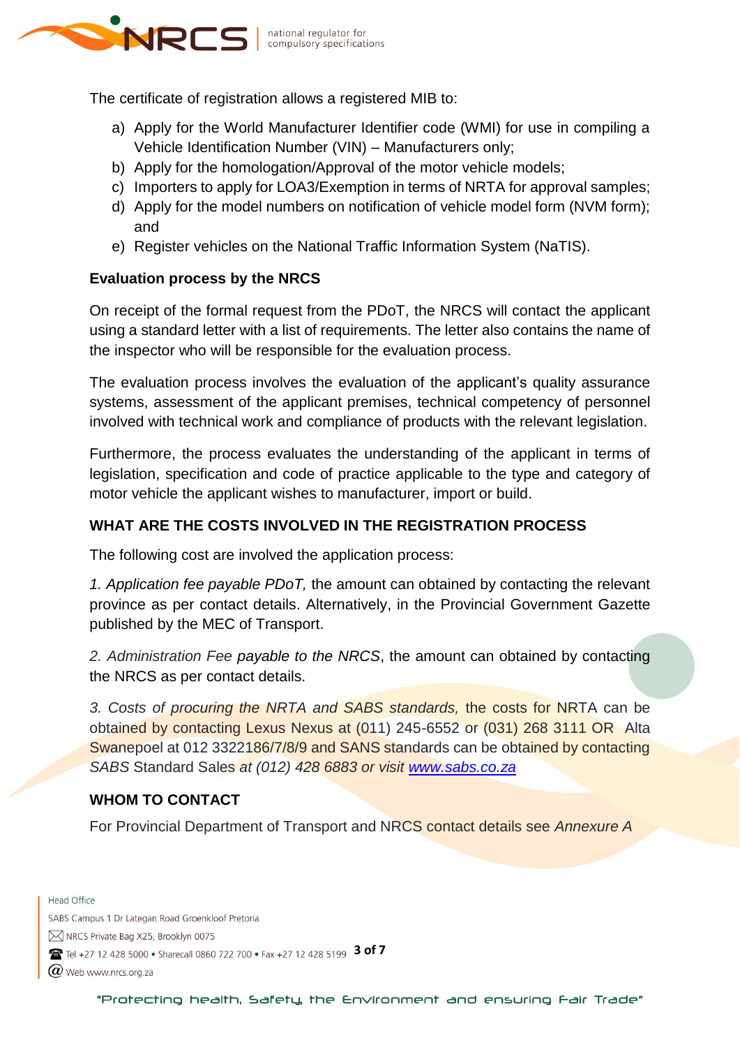

The certificate of registration allows a registered MIB to:

- a) Apply for the World Manufacturer Identifier code (WMI) for use in compiling a Vehicle Identification Number (VIN) – Manufacturers only;
- b) Apply for the homologation/Approval of the motor vehicle models;
- c) Importers to apply for LOA3/Exemption in terms of NRTA for approval samples;
- d) Apply for the model numbers on notification of vehicle model form (NVM form); and
- e) Register vehicles on the National Traffic Information System (NaTIS).

### **Evaluation process by the NRCS**

On receipt of the formal request from the PDoT, the NRCS will contact the applicant using a standard letter with a list of requirements. The letter also contains the name of the inspector who will be responsible for the evaluation process.

The evaluation process involves the evaluation of the applicant's quality assurance systems, assessment of the applicant premises, technical competency of personnel involved with technical work and compliance of products with the relevant legislation.

Furthermore, the process evaluates the understanding of the applicant in terms of legislation, specification and code of practice applicable to the type and category of motor vehicle the applicant wishes to manufacturer, import or build.

## **WHAT ARE THE COSTS INVOLVED IN THE REGISTRATION PROCESS**

The following cost are involved the application process:

*1. Application fee payable PDoT,* the amount can obtained by contacting the relevant province as per contact details. Alternatively, in the Provincial Government Gazette published by the MEC of Transport.

*2. Administration Fee payable to the NRCS*, the amount can obtained by contacting the NRCS as per contact details.

*3. Costs of procuring the NRTA and SABS standards,* the costs for NRTA can be obtained by contacting Lexus Nexus at (011) 245-6552 or (031) 268 3111 OR Alta Swanepoel at 012 3322186/7/8/9 and SANS standards can be obtained by contacting *SABS* Standard Sales *at (012) 428 6883 or visit [www.sabs.co.za](http://www.sabs.co.za/)*

### **WHOM TO CONTACT**

For Provincial Department of Transport and NRCS contact details see *Annexure A*

**Head Office** SABS Campus 1 Dr Lategan Road Groenkloof Pretoria M NRCS Private Bag X25, Brooklyn 0075 **3 of 7** Tel +27 12 428 5000 • Sharecall 0860 722 700 • Fax +27 12 428 5199 3 of 7

 $\bm{Q}$  Web www.nrcs.org.za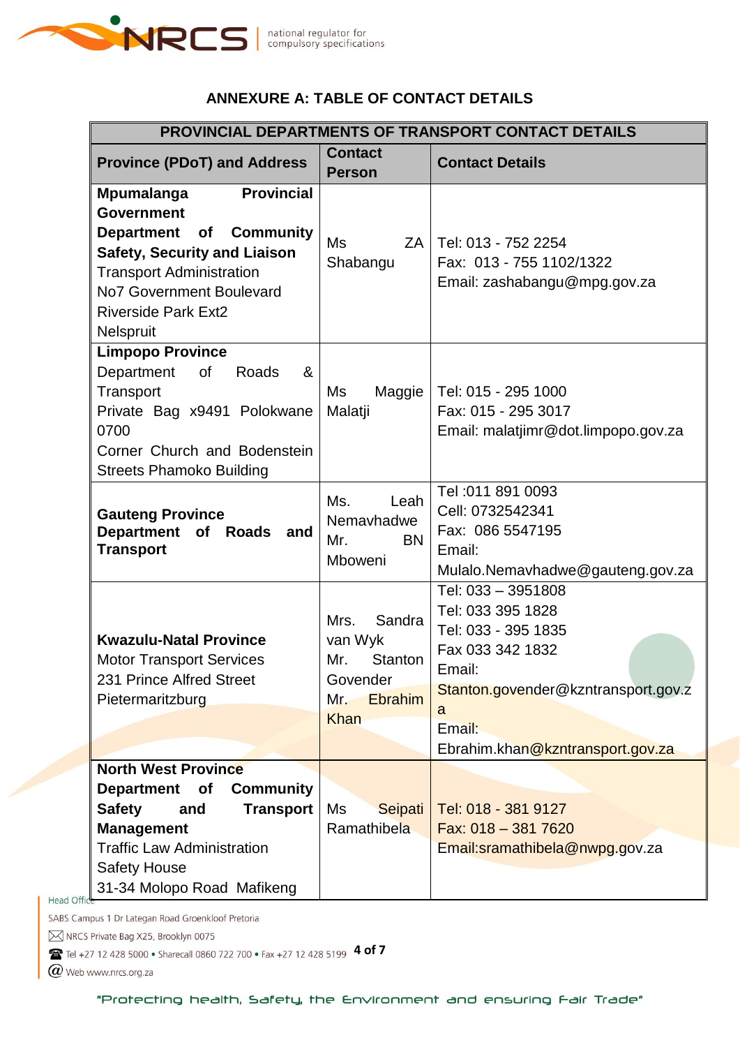

# **ANNEXURE A: TABLE OF CONTACT DETAILS**

| <b>PROVINCIAL DEPARTMENTS OF TRANSPORT CONTACT DETAILS</b>                                                                                                                                                                                                         |                                                                                          |                                                                                                                                                                                        |  |  |  |
|--------------------------------------------------------------------------------------------------------------------------------------------------------------------------------------------------------------------------------------------------------------------|------------------------------------------------------------------------------------------|----------------------------------------------------------------------------------------------------------------------------------------------------------------------------------------|--|--|--|
| <b>Province (PDoT) and Address</b>                                                                                                                                                                                                                                 | <b>Contact</b><br><b>Person</b>                                                          | <b>Contact Details</b>                                                                                                                                                                 |  |  |  |
| <b>Mpumalanga</b><br><b>Provincial</b><br><b>Government</b><br><b>Community</b><br><b>Department</b><br><b>of</b><br><b>Safety, Security and Liaison</b><br><b>Transport Administration</b><br>No7 Government Boulevard<br><b>Riverside Park Ext2</b><br>Nelspruit | <b>Ms</b><br>ZA<br>Shabangu                                                              | Tel: 013 - 752 2254<br>Fax: 013 - 755 1102/1322<br>Email: zashabangu@mpg.gov.za                                                                                                        |  |  |  |
| <b>Limpopo Province</b><br>Department<br>&<br>of<br>Roads<br>Transport<br>Private Bag x9491 Polokwane<br>0700<br>Corner Church and Bodenstein<br><b>Streets Phamoko Building</b>                                                                                   | Ms<br>Maggie<br>Malatji                                                                  | Tel: 015 - 295 1000<br>Fax: 015 - 295 3017<br>Email: malatjimr@dot.limpopo.gov.za                                                                                                      |  |  |  |
| <b>Gauteng Province</b><br>Department of Roads<br>and<br><b>Transport</b>                                                                                                                                                                                          | Ms.<br>Leah<br>Nemavhadwe<br>Mr.<br><b>BN</b><br>Mboweni                                 | Tel: 011 891 0093<br>Cell: 0732542341<br>Fax: 086 5547195<br>Email:<br>Mulalo.Nemavhadwe@gauteng.gov.za                                                                                |  |  |  |
| <b>Kwazulu-Natal Province</b><br><b>Motor Transport Services</b><br>231 Prince Alfred Street<br>Pietermaritzburg                                                                                                                                                   | Sandra<br>Mrs.<br>van Wyk<br>Mr.<br>Stanton<br>Govender<br>Ebrahim<br>Mr.<br><b>Khan</b> | Tel: 033 - 3951808<br>Tel: 033 395 1828<br>Tel: 033 - 395 1835<br>Fax 033 342 1832<br>Email:<br>Stanton.govender@kzntransport.gov.z<br>a<br>Email:<br>Ebrahim.khan@kzntransport.gov.za |  |  |  |
| <b>North West Province</b><br><b>Community</b><br><b>Department</b><br><b>of</b><br><b>Transport</b><br><b>Safety</b><br>and<br><b>Management</b><br><b>Traffic Law Administration</b><br><b>Safety House</b><br>31-34 Molopo Road Mafikeng<br><b>Head Offic</b>   | Ms<br>Seipati<br>Ramathibela                                                             | Tel: 018 - 381 9127<br>Fax: 018 - 381 7620<br>Email:sramathibela@nwpg.gov.za                                                                                                           |  |  |  |

SABS Campus 1 Dr Lategan Road Groenkloof Pretoria

M NRCS Private Bag X25, Brooklyn 0075

**4 of 7** Tel +27 12 428 5000 • Sharecall 0860 722 700 • Fax +27 12 428 5199 4 of 7

 $\varpi$  Web www.nrcs.org.za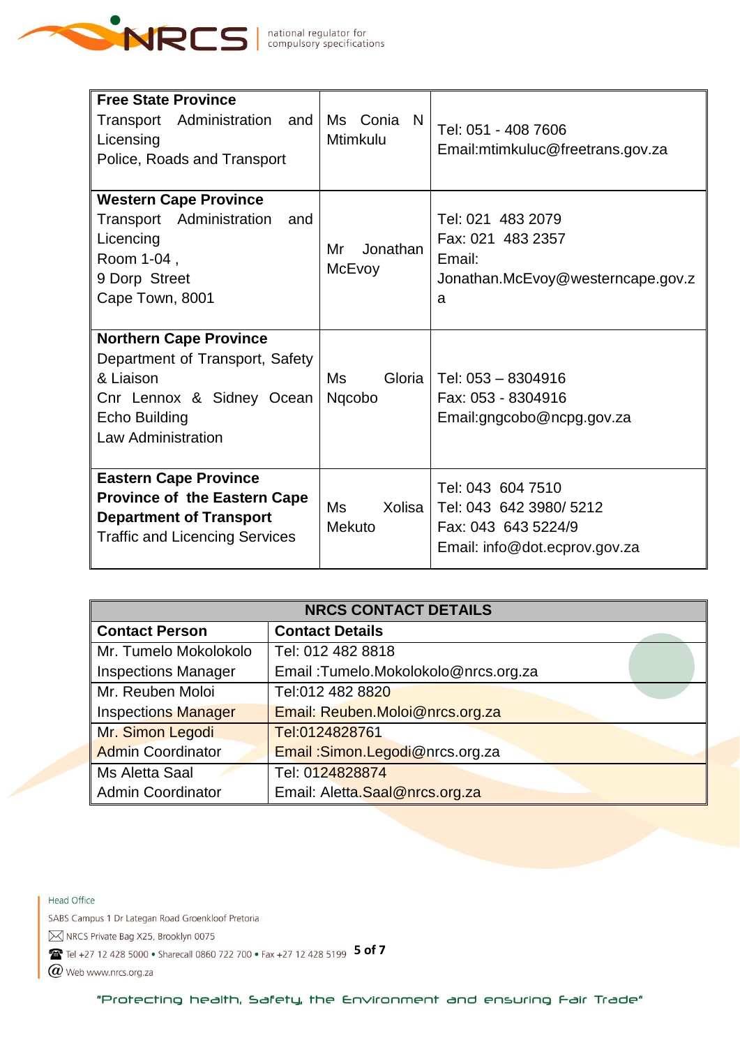

| <b>Free State Province</b><br>Transport Administration and<br>Licensing<br>Police, Roads and Transport                                                   | Ms Conia<br>N<br><b>Mtimkulu</b> | Tel: 051 - 408 7606<br>Email:mtimkuluc@freetrans.gov.za                                              |
|----------------------------------------------------------------------------------------------------------------------------------------------------------|----------------------------------|------------------------------------------------------------------------------------------------------|
| <b>Western Cape Province</b><br>Transport Administration<br>and<br>Licencing<br>Room 1-04,<br>9 Dorp Street<br>Cape Town, 8001                           | Jonathan<br>Mr<br>McEvoy         | Tel: 021 483 2079<br>Fax: 021 483 2357<br>Email:<br>Jonathan.McEvoy@westerncape.gov.z<br>a           |
| <b>Northern Cape Province</b><br>Department of Transport, Safety<br>& Liaison<br>Cnr Lennox & Sidney Ocean<br>Echo Building<br><b>Law Administration</b> | Ms<br>Gloria<br>Ngcobo           | Tel: 053 - 8304916<br>Fax: 053 - 8304916<br>Email:gngcobo@ncpg.gov.za                                |
| <b>Eastern Cape Province</b><br><b>Province of the Eastern Cape</b><br><b>Department of Transport</b><br><b>Traffic and Licencing Services</b>           | Ms<br>Xolisa<br><b>Mekuto</b>    | Tel: 043 604 7510<br>Tel: 043 642 3980/ 5212<br>Fax: 043 643 5224/9<br>Email: info@dot.ecprov.gov.za |

| <b>NRCS CONTACT DETAILS</b> |                                      |  |  |
|-----------------------------|--------------------------------------|--|--|
| <b>Contact Person</b>       | <b>Contact Details</b>               |  |  |
| Mr. Tumelo Mokolokolo       | Tel: 012 482 8818                    |  |  |
| <b>Inspections Manager</b>  | Email: Tumelo.Mokolokolo@nrcs.org.za |  |  |
| Mr. Reuben Moloi            | Tel:012 482 8820                     |  |  |
| <b>Inspections Manager</b>  | Email: Reuben.Moloi@nrcs.org.za      |  |  |
| Mr. Simon Legodi            | Tel:0124828761                       |  |  |
| <b>Admin Coordinator</b>    | Email:Simon.Legodi@nrcs.org.za       |  |  |
| Ms Aletta Saal              | Tel: 0124828874                      |  |  |
| <b>Admin Coordinator</b>    | Email: Aletta.Saal@nrcs.org.za       |  |  |

Head Office

SABS Campus 1 Dr Lategan Road Groenkloof Pretoria

M NRCS Private Bag X25, Brooklyn 0075

**15 of 7** Tel +27 12 428 5000 • Sharecall 0860 722 700 • Fax +27 12 428 5199 **5 of 7** 

 $\varpi$  Web www.nrcs.org.za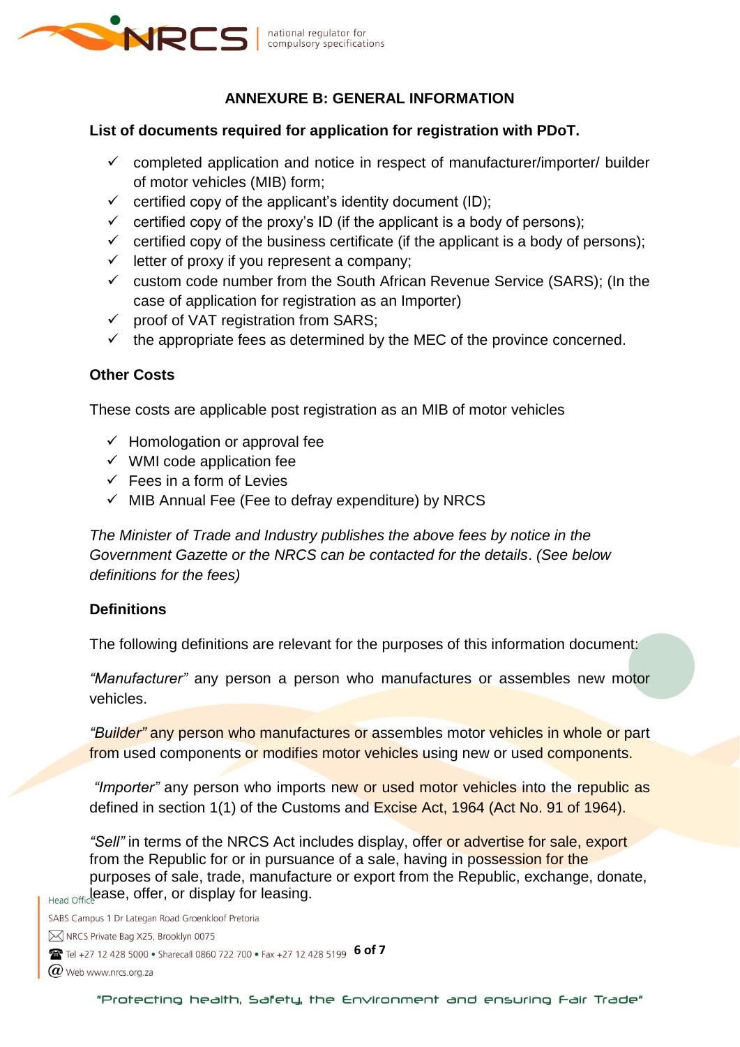

# **ANNEXURE B: GENERAL INFORMATION**

#### **List of documents required for application for registration with PDoT.**

- $\checkmark$  completed application and notice in respect of manufacturer/importer/ builder of motor vehicles (MIB) form;
- $\checkmark$  certified copy of the applicant's identity document (ID);
- $\checkmark$  certified copy of the proxy's ID (if the applicant is a body of persons);
- $\checkmark$  certified copy of the business certificate (if the applicant is a body of persons);
- $\checkmark$  letter of proxy if you represent a company;
- $\checkmark$  custom code number from the South African Revenue Service (SARS); (In the case of application for registration as an Importer)
- $\checkmark$  proof of VAT registration from SARS;
- $\checkmark$  the appropriate fees as determined by the MEC of the province concerned.

### **Other Costs**

These costs are applicable post registration as an MIB of motor vehicles

- $\checkmark$  Homologation or approval fee
- $\checkmark$  WMI code application fee
- $\checkmark$  Fees in a form of Levies
- $\checkmark$  MIB Annual Fee (Fee to defray expenditure) by NRCS

*The Minister of Trade and Industry publishes the above fees by notice in the Government Gazette or the NRCS can be contacted for the details*. *(See below definitions for the fees)*

#### **Definitions**

The following definitions are relevant for the purposes of this information document:

*"Manufacturer"* any person a person who manufactures or assembles new motor vehicles.

*"Builder"* any person who manufactures or assembles motor vehicles in whole or part from used components or modifies motor vehicles using new or used components.

*"Importer"* any person who imports new or used motor vehicles into the republic as defined in section 1(1) of the Customs and Excise Act, 1964 (Act No. 91 of 1964).

*"Sell"* in terms of the NRCS Act includes display, offer or advertise for sale, export from the Republic for or in pursuance of a sale, having in possession for the purposes of sale, trade, manufacture or export from the Republic, exchange, donate, Head Office ase, offer, or display for leasing.

SABS Campus 1 Dr Lategan Road Groenkloof Pretoria M NRCS Private Bag X25, Brooklyn 0075 **6 of 7** Tel +27 12 428 5000 • Sharecall 0860 722 700 • Fax +27 12 428 5199 **6 of 7**  $@$  Web www.nrcs.org.za